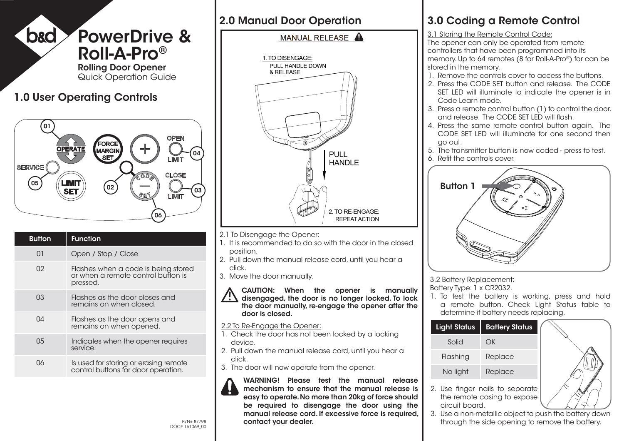

## 2.0 Manual Door Operation

# MANUAL RELEASE A



- 2.1 To Disengage the Opener:
- 1. It is recommended to do so with the door in the closed position.
- 2. Pull down the manual release cord, until you hear a click.
- 3. Move the door manually.



#### 2.2 To Re-Engage the Opener:

- 1. Check the door has not been locked by a locking device.
- 2. Pull down the manual release cord, until you hear a click.
- 3. The door will now operate from the opener.



P/N# 87798 **Contact your dealer.** Through the side opening to remove the battery. WARNING! Please test the manual release mechanism to ensure that the manual release is easy to operate. No more than 20kg of force should be required to disengage the door using the manual release cord. If excessive force is required, contact your dealer.

# 3.0 Coding a Remote Control

#### 3.1 Storing the Remote Control Code:

The opener can only be operated from remote controllers that have been programmed into its memory. Up to 64 remotes (8 for Roll-A-Pro®) for can be stored in the memory.

- 1. Remove the controls cover to access the buttons.
- 2. Press the CODE SET button and release. The CODE SET LED will illuminate to indicate the opener is in Code Learn mode.
- 3. Press a remote control button (1) to control the door. and release. The CODE SET LED will flash.
- 4. Press the same remote control button again. The CODE SET LED will illuminate for one second then go out.
- 5. The transmitter button is now coded press to test.
- 6. Refit the controls cover.



### 3.2 Battery Replacement:

Battery Type: 1 x CR2032.

1. To test the battery is working, press and hold a remote button. Check Light Status table to determine if battery needs replacing.



the remote casing to expose

circuit board.

- 
- 3. Use a non-metallic object to push the battery down